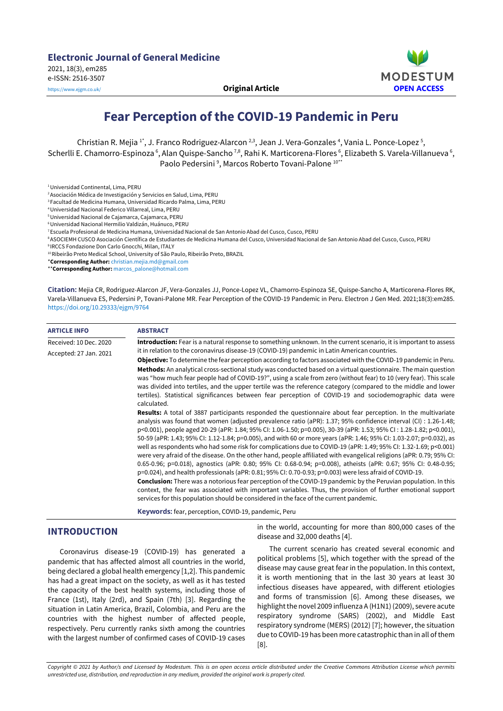



# **Fear Perception of the COVID-19 Pandemic in Peru**

Christian R. Mejia 1\*, J. Franco Rodriguez-Alarcon <sup>2,3</sup>, Jean J. Vera-Gonzales <sup>4</sup>, Vania L. Ponce-Lopez <sup>5</sup>, Scherlli E. Chamorro-Espinoza ʿ, Alan Quispe-Sancho <sup>⁊,8</sup>, Rahi K. Marticorena-Flores ʿ, Elizabeth S. Varela-Villanueva ʿ, Paolo Pedersini<sup>9</sup>, Marcos Roberto Tovani-Palone<sup>10\*\*</sup>

2Asociación Médica de Investigación y Servicios en Salud, Lima, PERU

<sup>3</sup> Facultad de Medicina Humana, Universidad Ricardo Palma, Lima, PERU

4Universidad Nacional Federico Villarreal, Lima, PERU

5Universidad Nacional de Cajamarca, Cajamarca, PERU

6Universidad Nacional Hermilio Valdizán, Huánuco, PERU

7Escuela Profesional de Medicina Humana, Universidad Nacional de San Antonio Abad del Cusco, Cusco, PERU

8ASOCIEMH CUSCO Asociación Científica de Estudiantes de Medicina Humana del Cusco, Universidad Nacional de San Antonio Abad del Cusco, Cusco, PERU <sup>9</sup> IRCCS Fondazione Don Carlo Gnocchi, Milan, ITALY

<sup>10</sup> Ribeirão Preto Medical School, University of São Paulo, Ribeirão Preto, BRAZIL

\***Corresponding Author:** [christian.mejia.md@gmail.com](mailto:christian.mejia.md@gmail.com)

\*\***Corresponding Author:** [marcos\\_palone@hotmail.com](mailto:marcos_palone@hotmail.com)

**Citation:** Mejia CR, Rodriguez-Alarcon JF, Vera-Gonzales JJ, Ponce-Lopez VL, Chamorro-Espinoza SE, Quispe-Sancho A, Marticorena-Flores RK, Varela-Villanueva ES, Pedersini P, Tovani-Palone MR. Fear Perception of the COVID-19 Pandemic in Peru. Electron J Gen Med. 2021;18(3):em285. <https://doi.org/10.29333/ejgm/9764>

| <b>ARTICLE INFO</b>    | <b>ABSTRACT</b>                                                                                                                                                                                                                                                                                                                                                                                                                                                                                                                                                                                                                                                                                                                                                                                                                                                                                                                                                                                                                                                                                                                                                                                                                                                                                  |  |  |
|------------------------|--------------------------------------------------------------------------------------------------------------------------------------------------------------------------------------------------------------------------------------------------------------------------------------------------------------------------------------------------------------------------------------------------------------------------------------------------------------------------------------------------------------------------------------------------------------------------------------------------------------------------------------------------------------------------------------------------------------------------------------------------------------------------------------------------------------------------------------------------------------------------------------------------------------------------------------------------------------------------------------------------------------------------------------------------------------------------------------------------------------------------------------------------------------------------------------------------------------------------------------------------------------------------------------------------|--|--|
| Received: 10 Dec. 2020 | Introduction: Fear is a natural response to something unknown. In the current scenario, it is important to assess                                                                                                                                                                                                                                                                                                                                                                                                                                                                                                                                                                                                                                                                                                                                                                                                                                                                                                                                                                                                                                                                                                                                                                                |  |  |
| Accepted: 27 Jan. 2021 | it in relation to the coronavirus disease-19 (COVID-19) pandemic in Latin American countries.                                                                                                                                                                                                                                                                                                                                                                                                                                                                                                                                                                                                                                                                                                                                                                                                                                                                                                                                                                                                                                                                                                                                                                                                    |  |  |
|                        | <b>Objective:</b> To determine the fear perception according to factors associated with the COVID-19 pandemic in Peru.                                                                                                                                                                                                                                                                                                                                                                                                                                                                                                                                                                                                                                                                                                                                                                                                                                                                                                                                                                                                                                                                                                                                                                           |  |  |
|                        | Methods: An analytical cross-sectional study was conducted based on a virtual questionnaire. The main question<br>was "how much fear people had of COVID-19?", using a scale from zero (without fear) to 10 (very fear). This scale<br>was divided into tertiles, and the upper tertile was the reference category (compared to the middle and lower<br>tertiles). Statistical significances between fear perception of COVID-19 and sociodemographic data were<br>calculated.                                                                                                                                                                                                                                                                                                                                                                                                                                                                                                                                                                                                                                                                                                                                                                                                                   |  |  |
|                        | <b>Results:</b> A total of 3887 participants responded the questionnaire about fear perception. In the multivariate<br>analysis was found that women (adjusted prevalence ratio (aPR): 1.37; 95% confidence interval (CI): 1.26-1.48;<br>p<0.001), people aged 20-29 (aPR: 1.84; 95% CI: 1.06-1.50; p=0.005), 30-39 (aPR: 1.53; 95% CI: 1.28-1.82; p<0.001),<br>50-59 (aPR: 1.43; 95% CI: 1.12-1.84; p=0.005), and with 60 or more years (aPR: 1.46; 95% CI: 1.03-2.07; p=0.032), as<br>well as respondents who had some risk for complications due to COVID-19 (aPR: 1.49; 95% CI: 1.32-1.69; p<0.001)<br>were very afraid of the disease. On the other hand, people affiliated with evangelical religions (aPR: 0.79; 95% CI:<br>0.65-0.96; p=0.018), agnostics (aPR: 0.80; 95% CI: 0.68-0.94; p=0.008), atheists (aPR: 0.67; 95% CI: 0.48-0.95;<br>p=0.024), and health professionals (aPR: 0.81; 95% CI: 0.70-0.93; p=0.003) were less afraid of COVID-19.<br><b>Conclusion:</b> There was a notorious fear perception of the COVID-19 pandemic by the Peruvian population. In this<br>context, the fear was associated with important variables. Thus, the provision of further emotional support<br>services for this population should be considered in the face of the current pandemic. |  |  |

**Keywords:** fear, perception, COVID-19, pandemic, Peru

# **INTRODUCTION**

Coronavirus disease-19 (COVID-19) has generated a pandemic that has affected almost all countries in the world, being declared a global health emergency [1,2]. This pandemic has had a great impact on the society, as well as it has tested the capacity of the best health systems, including those of France (1st), Italy (2rd), and Spain (7th) [3]. Regarding the situation in Latin America, Brazil, Colombia, and Peru are the countries with the highest number of affected people, respectively. Peru currently ranks sixth among the countries with the largest number of confirmed cases of COVID-19 cases

in the world, accounting for more than 800,000 cases of the disease and 32,000 deaths [4].

The current scenario has created several economic and political problems [5], which together with the spread of the disease may cause great fear in the population. In this context, it is worth mentioning that in the last 30 years at least 30 infectious diseases have appeared, with different etiologies and forms of transmission [6]. Among these diseases, we highlight the novel 2009 influenza A (H1N1) (2009), severe acute respiratory syndrome (SARS) (2002), and Middle East respiratory syndrome (MERS) (2012) [7]; however, the situation due to COVID-19 has been more catastrophic than in all ofthem [8].

Copyright © 2021 by Author/s and Licensed by Modestum. This is an open access article distributed under the Creative Commons Attribution License which permits *unrestricted use, distribution, and reproduction in any medium, provided the original work is properly cited.*

<sup>1</sup>Universidad Continental, Lima, PERU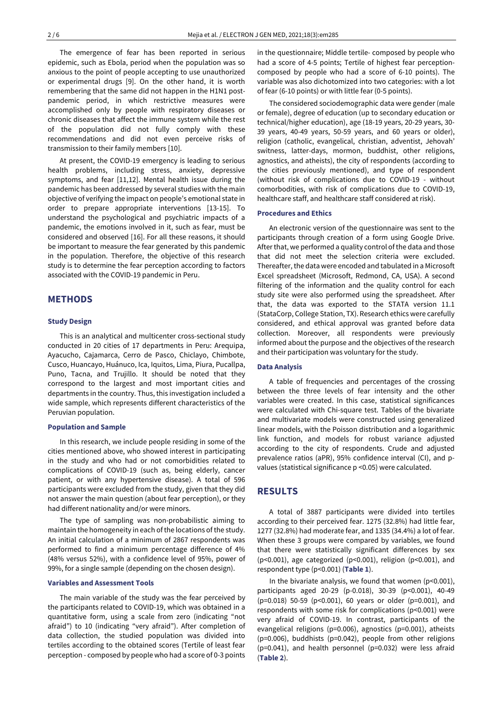The emergence of fear has been reported in serious epidemic, such as Ebola, period when the population was so anxious to the point of people accepting to use unauthorized or experimental drugs [9]. On the other hand, it is worth remembering that the same did not happen in the H1N1 postpandemic period, in which restrictive measures were accomplished only by people with respiratory diseases or chronic diseases that affect the immune system while the rest of the population did not fully comply with these recommendations and did not even perceive risks of transmission to their family members [10].

At present, the COVID-19 emergency is leading to serious health problems, including stress, anxiety, depressive symptoms, and fear [11,12]. Mental health issue during the pandemic has been addressed by several studies with the main objective of verifying the impact on people's emotional state in order to prepare appropriate interventions [13-15]. To understand the psychological and psychiatric impacts of a pandemic, the emotions involved in it, such as fear, must be considered and observed [16]. For all these reasons, it should be important to measure the fear generated by this pandemic in the population. Therefore, the objective of this research study is to determine the fear perception according to factors associated with the COVID-19 pandemic in Peru.

# **METHODS**

#### **Study Design**

This is an analytical and multicenter cross-sectional study conducted in 20 cities of 17 departments in Peru: Arequipa, Ayacucho, Cajamarca, Cerro de Pasco, Chiclayo, Chimbote, Cusco, Huancayo, Huánuco, Ica, Iquitos, Lima, Piura, Pucallpa, Puno, Tacna, and Trujillo. It should be noted that they correspond to the largest and most important cities and departments in the country. Thus, this investigation included a wide sample, which represents different characteristics of the Peruvian population.

#### **Population and Sample**

In this research, we include people residing in some of the cities mentioned above, who showed interest in participating in the study and who had or not comorbidities related to complications of COVID-19 (such as, being elderly, cancer patient, or with any hypertensive disease). A total of 596 participants were excluded from the study, given that they did not answer the main question (about fear perception), or they had different nationality and/or were minors.

The type of sampling was non-probabilistic aiming to maintain the homogeneity in each of the locations of the study. An initial calculation of a minimum of 2867 respondents was performed to find a minimum percentage difference of 4% (48% versus 52%), with a confidence level of 95%, power of 99%, for a single sample (depending on the chosen design).

#### **Variables and Assessment Tools**

The main variable of the study was the fear perceived by the participants related to COVID-19, which was obtained in a quantitative form, using a scale from zero (indicating "not afraid") to 10 (indicating "very afraid"). After completion of data collection, the studied population was divided into tertiles according to the obtained scores (Tertile of least fear perception - composed by people who had a score of 0-3 points in the questionnaire; Middle tertile- composed by people who had a score of 4-5 points; Tertile of highest fear perceptioncomposed by people who had a score of 6-10 points). The variable was also dichotomized into two categories: with a lot of fear (6-10 points) or with little fear (0-5 points).

The considered sociodemographic data were gender (male or female), degree of education (up to secondary education or technical/higher education), age (18-19 years, 20-29 years, 30- 39 years, 40-49 years, 50-59 years, and 60 years or older), religion (catholic, evangelical, christian, adventist, Jehovah' switness, latter-days, mormon, buddhist, other religions, agnostics, and atheists), the city of respondents (according to the cities previously mentioned), and type of respondent (without risk of complications due to COVID-19 - without comorbodities, with risk of complications due to COVID-19, healthcare staff, and healthcare staff considered at risk).

#### **Procedures and Ethics**

An electronic version of the questionnaire was sent to the participants through creation of a form using Google Drive. After that, we performed a quality control of the data and those that did not meet the selection criteria were excluded. Thereafter, the data were encoded and tabulated in a Microsoft Excel spreadsheet (Microsoft, Redmond, CA, USA). A second filtering of the information and the quality control for each study site were also performed using the spreadsheet. After that, the data was exported to the STATA version 11.1 (StataCorp, College Station, TX). Research ethics were carefully considered, and ethical approval was granted before data collection. Moreover, all respondents were previously informed about the purpose and the objectives of the research and their participation was voluntary for the study.

#### **Data Analysis**

A table of frequencies and percentages of the crossing between the three levels of fear intensity and the other variables were created. In this case, statistical significances were calculated with Chi-square test. Tables of the bivariate and multivariate models were constructed using generalized linear models, with the Poisson distribution and a logarithmic link function, and models for robust variance adjusted according to the city of respondents. Crude and adjusted prevalence ratios (aPR), 95% confidence interval (CI), and pvalues (statistical significance p <0.05) were calculated.

### **RESULTS**

A total of 3887 participants were divided into tertiles according to their perceived fear. 1275 (32.8%) had little fear, 1277 (32.8%) had moderate fear, and 1335 (34.4%) a lot of fear. When these 3 groups were compared by variables, we found that there were statistically significant differences by sex (p<0.001), age categorized (p<0.001), religion (p<0.001), and respondent type (p<0.001) (**Table 1**).

In the bivariate analysis, we found that women  $(p<0.001)$ , participants aged 20-29 (p-0.018), 30-39 (p<0.001), 40-49 (p=0.018) 50-59 (p<0.001), 60 years or older (p=0.001), and respondents with some risk for complications (p<0.001) were very afraid of COVID-19. In contrast, participants of the evangelical religions (p=0.006), agnostics (p=0.001), atheists (p=0.006), buddhists (p=0.042), people from other religions (p=0.041), and health personnel (p=0.032) were less afraid (**Table 2**).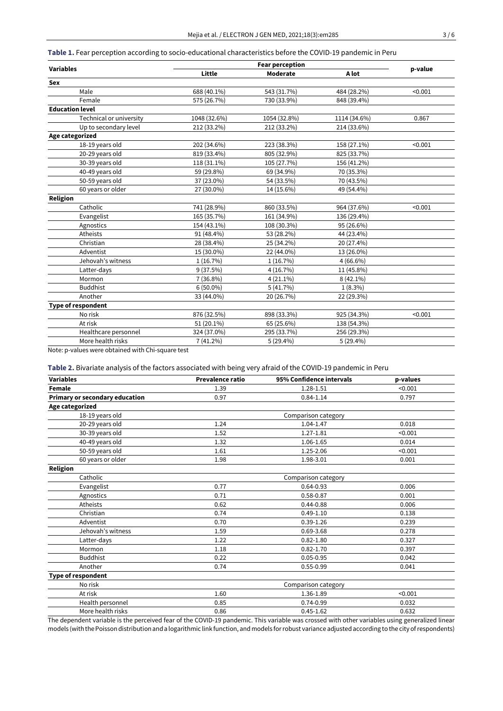# **Table 1.** Fear perception according to socio-educational characteristics before the COVID-19 pandemic in Peru

|                           | <b>Fear perception</b> |              |              |         |
|---------------------------|------------------------|--------------|--------------|---------|
| <b>Variables</b>          | Little                 | Moderate     | A lot        | p-value |
| Sex                       |                        |              |              |         |
| Male                      | 688 (40.1%)            | 543 (31.7%)  | 484 (28.2%)  | < 0.001 |
| Female                    | 575 (26.7%)            | 730 (33.9%)  | 848 (39.4%)  |         |
| <b>Education level</b>    |                        |              |              |         |
| Technical or university   | 1048 (32.6%)           | 1054 (32.8%) | 1114 (34.6%) | 0.867   |
| Up to secondary level     | 212 (33.2%)            | 212 (33.2%)  | 214 (33.6%)  |         |
| Age categorized           |                        |              |              |         |
| 18-19 years old           | 202 (34.6%)            | 223 (38.3%)  | 158 (27.1%)  | < 0.001 |
| 20-29 years old           | 819 (33.4%)            | 805 (32.9%)  | 825 (33.7%)  |         |
| 30-39 years old           | 118 (31.1%)            | 105 (27.7%)  | 156 (41.2%)  |         |
| 40-49 years old           | 59 (29.8%)             | 69 (34.9%)   | 70 (35.3%)   |         |
| 50-59 years old           | 37 (23.0%)             | 54 (33.5%)   | 70 (43.5%)   |         |
| 60 years or older         | 27 (30.0%)             | 14 (15.6%)   | 49 (54.4%)   |         |
| <b>Religion</b>           |                        |              |              |         |
| Catholic                  | 741 (28.9%)            | 860 (33.5%)  | 964 (37.6%)  | < 0.001 |
| Evangelist                | 165 (35.7%)            | 161 (34.9%)  | 136 (29.4%)  |         |
| Agnostics                 | 154 (43.1%)            | 108 (30.3%)  | 95 (26.6%)   |         |
| Atheists                  | 91 (48.4%)             | 53 (28.2%)   | 44 (23.4%)   |         |
| Christian                 | 28 (38.4%)             | 25 (34.2%)   | 20 (27.4%)   |         |
| Adventist                 | 15 (30.0%)             | 22 (44.0%)   | 13 (26.0%)   |         |
| Jehovah's witness         | 1(16.7%)               | 1(16.7%)     | $4(66.6\%)$  |         |
| Latter-days               | 9(37.5%)               | 4 (16.7%)    | 11 (45.8%)   |         |
| Mormon                    | 7 (36.8%)              | $4(21.1\%)$  | $8(42.1\%)$  |         |
| <b>Buddhist</b>           | $6(50.0\%)$            | 5(41.7%)     | $1(8.3\%)$   |         |
| Another                   | 33 (44.0%)             | 20 (26.7%)   | 22 (29.3%)   |         |
| <b>Type of respondent</b> |                        |              |              |         |
| No risk                   | 876 (32.5%)            | 898 (33.3%)  | 925 (34.3%)  | < 0.001 |
| At risk                   | 51 (20.1%)             | 65 (25.6%)   | 138 (54.3%)  |         |
| Healthcare personnel      | 324 (37.0%)            | 295 (33.7%)  | 256 (29.3%)  |         |
| More health risks         | $7(41.2\%)$            | 5(29.4%)     | $5(29.4\%)$  |         |
|                           |                        |              |              |         |

Note: p-values were obtained with Chi-square test

# **Table 2.** Bivariate analysis of the factors associated with being very afraid of the COVID-19 pandemic in Peru

| <b>Variables</b>               | <b>Prevalence ratio</b> | 95% Confidence intervals | p-values |  |
|--------------------------------|-------------------------|--------------------------|----------|--|
| Female                         | 1.39                    | 1.28-1.51                | < 0.001  |  |
| Primary or secondary education | 0.97                    | $0.84 - 1.14$            | 0.797    |  |
| Age categorized                |                         |                          |          |  |
| 18-19 years old                |                         | Comparison category      |          |  |
| 20-29 years old                | 1.24                    | 1.04-1.47                | 0.018    |  |
| 30-39 years old                | 1.52                    | 1.27-1.81                | < 0.001  |  |
| 40-49 years old                | 1.32                    | 1.06-1.65                | 0.014    |  |
| 50-59 years old                | 1.61                    | 1.25-2.06                | < 0.001  |  |
| 60 years or older              | 1.98                    | 1.98-3.01                | 0.001    |  |
| Religion                       |                         |                          |          |  |
| Catholic                       |                         | Comparison category      |          |  |
| Evangelist                     | 0.77                    | $0.64 - 0.93$            | 0.006    |  |
| Agnostics                      | 0.71                    | 0.58-0.87                | 0.001    |  |
| Atheists                       | 0.62                    | $0.44 - 0.88$            | 0.006    |  |
| Christian                      | 0.74                    | $0.49 - 1.10$            | 0.138    |  |
| Adventist                      | 0.70                    | $0.39 - 1.26$            | 0.239    |  |
| Jehovah's witness              | 1.59                    | 0.69-3.68                | 0.278    |  |
| Latter-days                    | 1.22                    | $0.82 - 1.80$            | 0.327    |  |
| Mormon                         | 1.18                    | $0.82 - 1.70$            | 0.397    |  |
| <b>Buddhist</b>                | 0.22                    | $0.05 - 0.95$            | 0.042    |  |
| Another                        | 0.74                    | $0.55 - 0.99$            | 0.041    |  |
| <b>Type of respondent</b>      |                         |                          |          |  |
| No risk                        |                         | Comparison category      |          |  |
| At risk                        | 1.60                    | 1.36-1.89                | < 0.001  |  |
| Health personnel               | 0.85                    | 0.74-0.99                | 0.032    |  |
| More health risks              | 0.86                    | $0.45 - 1.62$            | 0.632    |  |

The dependent variable is the perceived fear of the COVID-19 pandemic. This variable was crossed with other variables using generalized linear models (withthePoissondistributionanda logarithmic link function, andmodels forrobust variance adjustedaccording tothe city ofrespondents)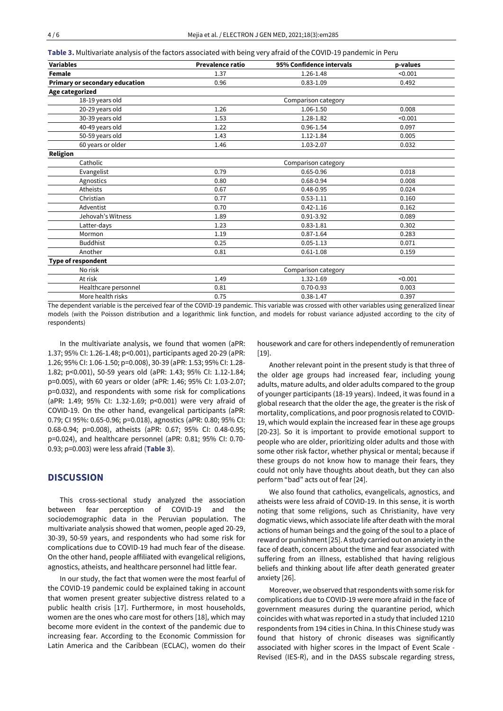| Table 3. Multivariate analysis of the factors associated with being very afraid of the COVID-19 pandemic in Peru |  |  |
|------------------------------------------------------------------------------------------------------------------|--|--|
|------------------------------------------------------------------------------------------------------------------|--|--|

| <b>Variables</b>               | <b>Prevalence ratio</b> | 95% Confidence intervals | p-values |
|--------------------------------|-------------------------|--------------------------|----------|
| <b>Female</b>                  | 1.37                    | 1.26-1.48                | < 0.001  |
| Primary or secondary education | 0.96                    | $0.83 - 1.09$            | 0.492    |
| Age categorized                |                         |                          |          |
| 18-19 years old                | Comparison category     |                          |          |
| 20-29 years old                | 1.26                    | 1.06-1.50                | 0.008    |
| 30-39 years old                | 1.53                    | 1.28-1.82                | < 0.001  |
| 40-49 years old                | 1.22                    | 0.96-1.54                | 0.097    |
| 50-59 years old                | 1.43                    | $1.12 - 1.84$            | 0.005    |
| 60 years or older              | 1.46                    | 1.03-2.07                | 0.032    |
| Religion                       |                         |                          |          |
| Catholic                       |                         | Comparison category      |          |
| Evangelist                     | 0.79                    | $0.65 - 0.96$            | 0.018    |
| Agnostics                      | 0.80                    | 0.68-0.94                | 0.008    |
| Atheists                       | 0.67                    | $0.48 - 0.95$            | 0.024    |
| Christian                      | 0.77                    | $0.53 - 1.11$            | 0.160    |
| Adventist                      | 0.70                    | $0.42 - 1.16$            | 0.162    |
| Jehovah's Witness              | 1.89                    | $0.91 - 3.92$            | 0.089    |
| Latter-days                    | 1.23                    | $0.83 - 1.81$            | 0.302    |
| Mormon                         | 1.19                    | $0.87 - 1.64$            | 0.283    |
| <b>Buddhist</b>                | 0.25                    | $0.05 - 1.13$            | 0.071    |
| Another                        | 0.81                    | $0.61 - 1.08$            | 0.159    |
| <b>Type of respondent</b>      |                         |                          |          |
| No risk                        |                         | Comparison category      |          |
| At risk                        | 1.49                    | 1.32-1.69                | < 0.001  |
| Healthcare personnel           | 0.81                    | $0.70 - 0.93$            | 0.003    |
| More health risks              | 0.75                    | $0.38 - 1.47$            | 0.397    |

The dependent variable is the perceived fear of the COVID-19 pandemic. This variable was crossed with other variables using generalized linear models (with the Poisson distribution and a logarithmic link function, and models for robust variance adjusted according to the city of respondents)

In the multivariate analysis, we found that women (aPR: 1.37; 95% CI: 1.26-1.48; p<0.001), participants aged 20-29 (aPR: 1.26; 95% CI: 1.06-1.50; p=0.008), 30-39 (aPR: 1.53; 95% CI: 1.28- 1.82; p<0.001), 50-59 years old (aPR: 1.43; 95% CI: 1.12-1.84; p=0.005), with 60 years or older (aPR: 1.46; 95% CI: 1.03-2.07; p=0.032), and respondents with some risk for complications (aPR: 1.49; 95% CI: 1.32-1.69; p<0.001) were very afraid of COVID-19. On the other hand, evangelical participants (aPR: 0.79; CI 95%: 0.65-0.96; p=0.018), agnostics (aPR: 0.80; 95% CI: 0.68-0.94; p=0.008), atheists (aPR: 0.67; 95% CI: 0.48-0.95; p=0.024), and healthcare personnel (aPR: 0.81; 95% CI: 0.70- 0.93; p=0.003) were less afraid (**Table 3**).

# **DISCUSSION**

This cross-sectional study analyzed the association between fear perception of COVID-19 and the sociodemographic data in the Peruvian population. The multivariate analysis showed that women, people aged 20-29, 30-39, 50-59 years, and respondents who had some risk for complications due to COVID-19 had much fear of the disease. On the other hand, people affiliated with evangelical religions, agnostics, atheists, and healthcare personnel had little fear.

In our study, the fact that women were the most fearful of the COVID-19 pandemic could be explained taking in account that women present greater subjective distress related to a public health crisis [17]. Furthermore, in most households, women are the ones who care most for others [18], which may become more evident in the context of the pandemic due to increasing fear. According to the Economic Commission for Latin America and the Caribbean (ECLAC), women do their housework and care for others independently of remuneration [19].

Another relevant point in the present study is that three of the older age groups had increased fear, including young adults, mature adults, and older adults compared to the group of younger participants (18-19 years). Indeed, it was found in a global research that the older the age, the greater is the risk of mortality, complications, and poor prognosis related to COVID-19, which would explain the increased fear in these age groups [20-23]. So it is important to provide emotional support to people who are older, prioritizing older adults and those with some other risk factor, whether physical or mental; because if these groups do not know how to manage their fears, they could not only have thoughts about death, but they can also perform "bad" acts out of fear [24].

We also found that catholics, evangelicals, agnostics, and atheists were less afraid of COVID-19. In this sense, it is worth noting that some religions, such as Christianity, have very dogmatic views, which associate life after death with the moral actions of human beings and the going of the soul to a place of reward or punishment [25]. A study carried out on anxiety in the face of death, concern about the time and fear associated with suffering from an illness, established that having religious beliefs and thinking about life after death generated greater anxiety [26].

Moreover, we observed that respondents with some risk for complications due to COVID-19 were more afraid in the face of government measures during the quarantine period, which coincides with what was reported in a study that included 1210 respondents from 194 cities in China. In this Chinese study was found that history of chronic diseases was significantly associated with higher scores in the Impact of Event Scale - Revised (IES-R), and in the DASS subscale regarding stress,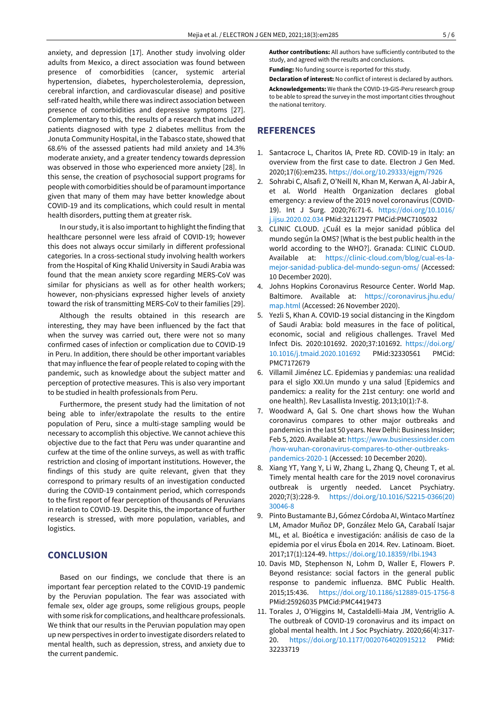anxiety, and depression [17]. Another study involving older adults from Mexico, a direct association was found between presence of comorbidities (cancer, systemic arterial hypertension, diabetes, hypercholesterolemia, depression, cerebral infarction, and cardiovascular disease) and positive self-rated health, while there was indirect association between presence of comorbidities and depressive symptoms [27]. Complementary to this, the results of a research that included patients diagnosed with type 2 diabetes mellitus from the Jonuta Community Hospital, in the Tabasco state, showed that 68.6% of the assessed patients had mild anxiety and 14.3% moderate anxiety, and a greater tendency towards depression was observed in those who experienced more anxiety [28]. In this sense, the creation of psychosocial support programs for people with comorbidities should be of paramountimportance given that many of them may have better knowledge about COVID-19 and its complications, which could result in mental health disorders, putting them at greater risk.

In our study, it is also important to highlight the finding that healthcare personnel were less afraid of COVID-19; however this does not always occur similarly in different professional categories. In a cross-sectional study involving health workers from the Hospital of King Khalid University in Saudi Arabia was found that the mean anxiety score regarding MERS-CoV was similar for physicians as well as for other health workers; however, non-physicians expressed higher levels of anxiety toward the risk of transmitting MERS-CoV to their families [29].

Although the results obtained in this research are interesting, they may have been influenced by the fact that when the survey was carried out, there were not so many confirmed cases of infection or complication due to COVID-19 in Peru. In addition, there should be other important variables that may influence the fear of people related to coping with the pandemic, such as knowledge about the subject matter and perception of protective measures. This is also very important to be studied in health professionals from Peru.

Furthermore, the present study had the limitation of not being able to infer/extrapolate the results to the entire population of Peru, since a multi-stage sampling would be necessary to accomplish this objective. We cannot achieve this objective due to the fact that Peru was under quarantine and curfew at the time of the online surveys, as well as with traffic restriction and closing of important institutions. However, the findings of this study are quite relevant, given that they correspond to primary results of an investigation conducted during the COVID-19 containment period, which corresponds to the first report of fear perception of thousands of Peruvians in relation to COVID-19. Despite this, the importance of further research is stressed, with more population, variables, and logistics.

# **CONCLUSION**

Based on our findings, we conclude that there is an important fear perception related to the COVID-19 pandemic by the Peruvian population. The fear was associated with female sex, older age groups, some religious groups, people with some risk for complications, and healthcare professionals. We think that our results in the Peruvian population may open up new perspectives in orderto investigate disorders related to mental health, such as depression, stress, and anxiety due to the current pandemic.

**Author contributions:** All authors have sufficiently contributed to the study, and agreed with the results and conclusions.

**Funding:** No funding source is reported for this study.

**Declaration of interest:** No conflict of interest is declared by authors. **Acknowledgements:** We thank the COVID-19-GIS-Peru research group to be able to spread the survey in the most important cities throughout the national territory.

# **REFERENCES**

- 1. Santacroce L, Charitos IA, Prete RD. COVID-19 in Italy: an overview from the first case to date. Electron J Gen Med. 2020;17(6):em235. <https://doi.org/10.29333/ejgm/7926>
- 2. Sohrabi C, Alsafi Z, O'Neill N, Khan M, Kerwan A, Al-Jabir A, et al. World Health Organization declares global emergency: a review of the 2019 novel coronavirus (COVID-19). Int J Surg. 2020;76:71-6. [https://doi.org/10.1016/](https://doi.org/10.1016/j.ijsu.2020.02.034) [j.ijsu.2020.02.034](https://doi.org/10.1016/j.ijsu.2020.02.034) PMid:32112977 PMCid:PMC7105032
- 3. CLINIC CLOUD. ¿Cuál es la mejor sanidad pública del mundo según la OMS? [What is the best public health in the world according to the WHO?]. Granada: CLINIC CLOUD. Available at: [https://clinic-cloud.com/blog/cual-es-la](https://clinic-cloud.com/blog/cual-es-la-mejor-sanidad-publica-del-mundo-segun-oms/)[mejor-sanidad-publica-del-mundo-segun-oms/](https://clinic-cloud.com/blog/cual-es-la-mejor-sanidad-publica-del-mundo-segun-oms/) (Accessed: 10 December 2020).
- 4. Johns Hopkins Coronavirus Resource Center. World Map. Baltimore. Available at: [https://coronavirus.jhu.edu/](https://coronavirus.jhu.edu/map.html) [map.html](https://coronavirus.jhu.edu/map.html) (Accessed: 26 November 2020).
- 5. Yezli S, Khan A. COVID-19 social distancing in the Kingdom of Saudi Arabia: bold measures in the face of political, economic, social and religious challenges. Travel Med Infect Dis. 2020:101692. 2020;37:101692. [https://doi.org/](https://doi.org/10.1016/j.tmaid.2020.101692) [10.1016/j.tmaid.2020.101692](https://doi.org/10.1016/j.tmaid.2020.101692) PMid:32330561 PMCid: PMC7172679
- 6. Villamil Jiménez LC. Epidemias y pandemias: una realidad para el siglo XXI.Un mundo y una salud [Epidemics and pandemics: a reality for the 21st century: one world and one health]. Rev Lasallista Investig. 2013;10(1):7-8.
- 7. Woodward A, Gal S. One chart shows how the Wuhan coronavirus compares to other major outbreaks and pandemics in the last 50 years. New Delhi: Business Insider; Feb 5, 2020. Available at: [https://www.businessinsider.com](https://www.businessinsider.com/how-wuhan-coronavirus-compares-to-other-outbreaks-pandemics-2020-1) [/how-wuhan-coronavirus-compares-to-other-outbreaks](https://www.businessinsider.com/how-wuhan-coronavirus-compares-to-other-outbreaks-pandemics-2020-1)[pandemics-2020-1](https://www.businessinsider.com/how-wuhan-coronavirus-compares-to-other-outbreaks-pandemics-2020-1) (Accessed: 10 December 2020).
- 8. Xiang YT, Yang Y, Li W, Zhang L, Zhang Q, Cheung T, et al. Timely mental health care for the 2019 novel coronavirus outbreak is urgently needed. Lancet Psychiatry. 2020;7(3):228-9. [https://doi.org/10.1016/S2215-0366\(20\)](https://doi.org/10.1016/S2215-0366(20)30046-8) [30046-8](https://doi.org/10.1016/S2215-0366(20)30046-8)
- 9. Pinto Bustamante BJ, Gómez Córdoba AI, Wintaco Martínez LM, Amador Muñoz DP, González Melo GA, Carabalí Isajar ML, et al. Bioética e investigación: análisis de caso de la epidemia por el virus Ébola en 2014. Rev. Latinoam. Bioet. 2017;17(1):124-49. <https://doi.org/10.18359/rlbi.1943>
- 10. Davis MD, Stephenson N, Lohm D, Waller E, Flowers P. Beyond resistance: social factors in the general public response to pandemic influenza. BMC Public Health. 2015;15:436. <https://doi.org/10.1186/s12889-015-1756-8> PMid:25926035 PMCid:PMC4419473
- 11. Torales J, O'Higgins M, Castaldelli-Maia JM, Ventriglio A. The outbreak of COVID-19 coronavirus and its impact on global mental health. Int J Soc Psychiatry. 2020;66(4):317- 20. <https://doi.org/10.1177/0020764020915212> PMid: 32233719